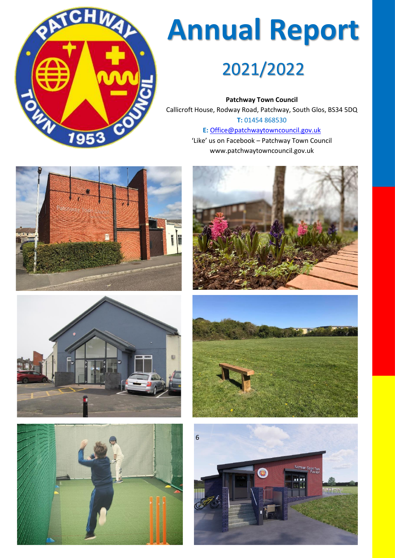

# **Annual Report**

## 2021/2022

**Patchway Town Council** Callicroft House, Rodway Road, Patchway, South Glos, BS34 5DQ **T:** 01454 868530 **E:** [Office@patchwaytowncouncil.gov.uk](mailto:Office@patchwaytowncouncil.gov.uk)

'Like' us on Facebook – Patchway Town Council www.patchwaytowncouncil.gov.uk











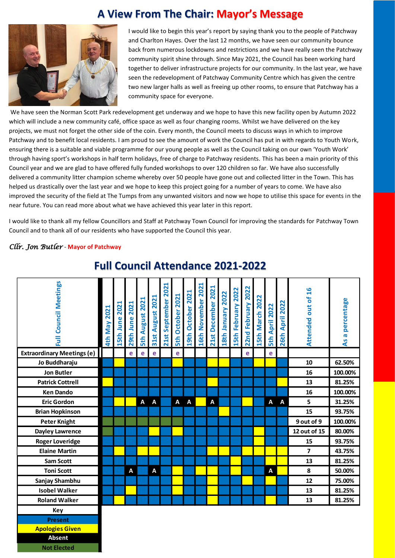#### **A View From The Chair: Mayor's Message**



I would like to begin this year's report by saying thank you to the people of Patchway and Charlton Hayes. Over the last 12 months, we have seen our community bounce back from numerous lockdowns and restrictions and we have really seen the Patchway community spirit shine through. Since May 2021, the Council has been working hard together to deliver infrastructure projects for our community. In the last year, we have seen the redevelopment of Patchway Community Centre which has given the centre two new larger halls as well as freeing up other rooms, to ensure that Patchway has a community space for everyone.

We have seen the Norman Scott Park redevelopment get underway and we hope to have this new facility open by Autumn 2022 which will include a new community café, office space as well as four changing rooms. Whilst we have delivered on the key projects, we must not forget the other side of the coin. Every month, the Council meets to discuss ways in which to improve Patchway and to benefit local residents. I am proud to see the amount of work the Council has put in with regards to Youth Work, ensuring there is a suitable and viable programme for our young people as well as the Council taking on our own 'Youth Work' through having sport's workshops in half term holidays, free of charge to Patchway residents. This has been a main priority of this Council year and we are glad to have offered fully funded workshops to over 120 children so far. We have also successfully delivered a community litter champion scheme whereby over 50 people have gone out and collected litter in the Town. This has helped us drastically over the last year and we hope to keep this project going for a number of years to come. We have also improved the security of the field at The Tumps from any unwanted visitors and now we hope to utilise this space for events in the near future. You can read more about what we have achieved this year later in this report.

I would like to thank all my fellow Councillors and Staff at Patchway Town Council for improving the standards for Patchway Town Council and to thank all of our residents who have supported the Council this year.

#### *Cllr. Jon Butler* - **Mayor of Patchway**

**Not Elected**

| Full Council Meetings             | 2021<br><b>4th May</b> | 15th June 2021 | 2021<br>29th June | <b>August 2021</b><br><b>Sth</b> | <b>August 2021</b><br>31st | September 2021<br>21st | 2021<br>October<br><b>Sth</b> | 19th October 2021 | 2021<br>16th November | 21st December 2021 | 18th January 2022 | 15th February 2022 | 22nd February 2022 | 5th March 2022 | April 2022<br><b>Sth</b> | 2022<br><b>April</b><br>26th | Attended out of 16      | percentage<br>$\overline{\mathbf{c}}$ |
|-----------------------------------|------------------------|----------------|-------------------|----------------------------------|----------------------------|------------------------|-------------------------------|-------------------|-----------------------|--------------------|-------------------|--------------------|--------------------|----------------|--------------------------|------------------------------|-------------------------|---------------------------------------|
|                                   |                        |                |                   |                                  |                            |                        |                               |                   |                       |                    |                   |                    |                    |                |                          |                              |                         | $\overline{a}$                        |
| <b>Extraordinary Meetings (e)</b> |                        |                | e                 | e                                | e                          |                        | e                             |                   |                       |                    |                   |                    | e                  |                | e                        |                              |                         |                                       |
| Jo Buddharaju                     |                        |                |                   |                                  |                            |                        |                               |                   |                       |                    |                   |                    |                    |                |                          |                              | 10                      | 62.50%                                |
| <b>Jon Butler</b>                 |                        |                |                   |                                  |                            |                        |                               |                   |                       |                    |                   |                    |                    |                |                          |                              | 16                      | 100.00%                               |
| <b>Patrick Cottrell</b>           |                        |                |                   |                                  |                            |                        |                               |                   |                       |                    |                   |                    |                    |                |                          |                              | 13                      | 81.25%                                |
| <b>Ken Dando</b>                  |                        |                |                   |                                  |                            |                        |                               |                   |                       |                    |                   |                    |                    |                |                          |                              | 16                      | 100.00%                               |
| <b>Eric Gordon</b>                |                        |                |                   | A                                | Α                          |                        | A                             | A                 |                       | A                  |                   |                    |                    |                | A                        | A                            | 5                       | 31.25%                                |
| <b>Brian Hopkinson</b>            |                        |                |                   |                                  |                            |                        |                               |                   |                       |                    |                   |                    |                    |                |                          |                              | 15                      | 93.75%                                |
| <b>Peter Knight</b>               |                        |                |                   |                                  |                            |                        |                               |                   |                       |                    |                   |                    |                    |                |                          |                              | 9 out of 9              | 100.00%                               |
| <b>Dayley Lawrence</b>            |                        |                |                   |                                  |                            |                        |                               |                   |                       |                    |                   |                    |                    |                |                          |                              | 12 out of 15            | 80.00%                                |
| <b>Roger Loveridge</b>            |                        |                |                   |                                  |                            |                        |                               |                   |                       |                    |                   |                    |                    |                |                          |                              | 15                      | 93.75%                                |
| <b>Elaine Martin</b>              |                        |                |                   |                                  |                            |                        |                               |                   |                       |                    |                   |                    |                    |                |                          |                              | $\overline{\mathbf{z}}$ | 43.75%                                |
| <b>Sam Scott</b>                  |                        |                |                   |                                  |                            |                        |                               |                   |                       |                    |                   |                    |                    |                |                          |                              | 13                      | 81.25%                                |
| <b>Toni Scott</b>                 |                        |                | A                 |                                  | A                          |                        |                               |                   |                       |                    |                   |                    |                    |                | Α                        |                              | 8                       | 50.00%                                |
| Sanjay Shambhu                    |                        |                |                   |                                  |                            |                        |                               |                   |                       |                    |                   |                    |                    |                |                          |                              | 12                      | 75.00%                                |
| <b>Isobel Walker</b>              |                        |                |                   |                                  |                            |                        |                               |                   |                       |                    |                   |                    |                    |                |                          |                              | 13                      | 81.25%                                |
| <b>Roland Walker</b>              |                        |                |                   |                                  |                            |                        |                               |                   |                       |                    |                   |                    |                    |                |                          |                              | 13                      | 81.25%                                |
| Key                               |                        |                |                   |                                  |                            |                        |                               |                   |                       |                    |                   |                    |                    |                |                          |                              |                         |                                       |
| <b>Present</b>                    |                        |                |                   |                                  |                            |                        |                               |                   |                       |                    |                   |                    |                    |                |                          |                              |                         |                                       |
| <b>Apologies Given</b>            |                        |                |                   |                                  |                            |                        |                               |                   |                       |                    |                   |                    |                    |                |                          |                              |                         |                                       |
| <b>Absent</b>                     |                        |                |                   |                                  |                            |                        |                               |                   |                       |                    |                   |                    |                    |                |                          |                              |                         |                                       |

#### **Full Council Attendance 2021-2022**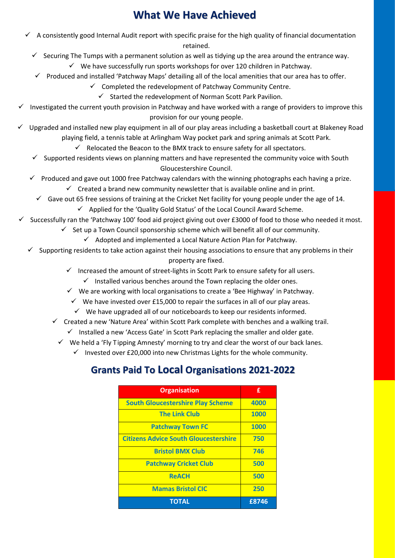#### **What We Have Achieved**

- $\checkmark$  A consistently good Internal Audit report with specific praise for the high quality of financial documentation retained.
	- $\checkmark$  Securing The Tumps with a permanent solution as well as tidving up the area around the entrance way.

✓ We have successfully run sports workshops for over 120 children in Patchway.

✓ Produced and installed 'Patchway Maps' detailing all of the local amenities that our area has to offer.

 $\checkmark$  Completed the redevelopment of Patchway Community Centre.

- $\checkmark$  Started the redevelopment of Norman Scott Park Pavilion.
- Investigated the current youth provision in Patchway and have worked with a range of providers to improve this provision for our young people.
- Upgraded and installed new play equipment in all of our play areas including a basketball court at Blakeney Road playing field, a tennis table at Arlingham Way pocket park and spring animals at Scott Park.

 $\checkmark$  Relocated the Beacon to the BMX track to ensure safety for all spectators.

- $\checkmark$  Supported residents views on planning matters and have represented the community voice with South Gloucestershire Council.
- ✓ Produced and gave out 1000 free Patchway calendars with the winning photographs each having a prize.
	- $\checkmark$  Created a brand new community newsletter that is available online and in print.
	- $\checkmark$  Gave out 65 free sessions of training at the Cricket Net facility for young people under the age of 14.  $\checkmark$  Applied for the 'Quality Gold Status' of the Local Council Award Scheme.
- $\checkmark$  Successfully ran the 'Patchway 100' food aid project giving out over £3000 of food to those who needed it most.
	- Set up a Town Council sponsorship scheme which will benefit all of our community.
		- $\checkmark$  Adopted and implemented a Local Nature Action Plan for Patchway.
	- $\checkmark$  Supporting residents to take action against their housing associations to ensure that any problems in their property are fixed.
		- $\checkmark$  Increased the amount of street-lights in Scott Park to ensure safety for all users.
			- $\checkmark$  Installed various benches around the Town replacing the older ones.
		- $\checkmark$  We are working with local organisations to create a 'Bee Highway' in Patchway.
			- $\checkmark$  We have invested over £15,000 to repair the surfaces in all of our play areas.
			- $\checkmark$  We have upgraded all of our noticeboards to keep our residents informed.
		- $\checkmark$  Created a new 'Nature Area' within Scott Park complete with benches and a walking trail.
			- $\checkmark$  Installed a new 'Access Gate' in Scott Park replacing the smaller and older gate.
			- $\checkmark$  We held a 'Fly Tipping Amnesty' morning to try and clear the worst of our back lanes.
				- $\checkmark$  Invested over £20,000 into new Christmas Lights for the whole community.

#### **Grants Paid To Local Organisations 2021-2022**

| <b>Organisation</b>                          | £     |
|----------------------------------------------|-------|
| <b>South Gloucestershire Play Scheme</b>     | 4000  |
| <b>The Link Club</b>                         | 1000  |
| <b>Patchway Town FC</b>                      | 1000  |
| <b>Citizens Advice South Gloucestershire</b> | 750   |
| <b>Bristol BMX Club</b>                      | 746   |
| <b>Patchway Cricket Club</b>                 | 500   |
| <b>ReACH</b>                                 | 500   |
| <b>Mamas Bristol CIC</b>                     | 250   |
| <b>TOTAL</b>                                 | £8746 |